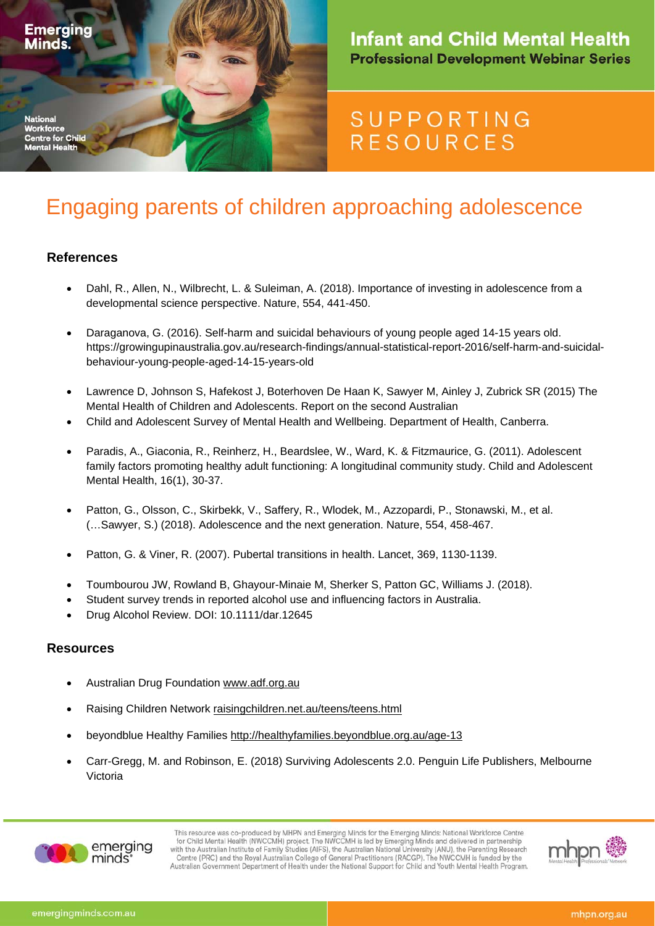

### **Infant and Child Mental Health Professional Development Webinar Series**

## **SUPPORTING RESOURCES**

# Engaging parents of children approaching adolescence

#### **References**

- Dahl, R., Allen, N., Wilbrecht, L. & Suleiman, A. (2018). Importance of investing in adolescence from a developmental science perspective. Nature, 554, 441-450.
- Daraganova, G. (2016). Self-harm and suicidal behaviours of young people aged 14-15 years old. https://growingupinaustralia.gov.au/research-findings/annual-statistical-report-2016/self-harm-and-suicidalbehaviour-young-people-aged-14-15-years-old
- Lawrence D, Johnson S, Hafekost J, Boterhoven De Haan K, Sawyer M, Ainley J, Zubrick SR (2015) The Mental Health of Children and Adolescents. Report on the second Australian
- Child and Adolescent Survey of Mental Health and Wellbeing. Department of Health, Canberra.
- Paradis, A., Giaconia, R., Reinherz, H., Beardslee, W., Ward, K. & Fitzmaurice, G. (2011). Adolescent family factors promoting healthy adult functioning: A longitudinal community study. Child and Adolescent Mental Health, 16(1), 30-37.
- Patton, G., Olsson, C., Skirbekk, V., Saffery, R., Wlodek, M., Azzopardi, P., Stonawski, M., et al. (…Sawyer, S.) (2018). Adolescence and the next generation. Nature, 554, 458-467.
- Patton, G. & Viner, R. (2007). Pubertal transitions in health. Lancet, 369, 1130-1139.
- Toumbourou JW, Rowland B, Ghayour-Minaie M, Sherker S, Patton GC, Williams J. (2018).
- Student survey trends in reported alcohol use and influencing factors in Australia.
- Drug Alcohol Review. DOI: 10.1111/dar.12645

#### **Resources**

- Australian Drug Foundation www.adf.org.au
- Raising Children Network raisingchildren.net.au/teens/teens.html
- beyondblue Healthy Families http://healthyfamilies.beyondblue.org.au/age-13
- Carr-Gregg, M. and Robinson, E. (2018) Surviving Adolescents 2.0. Penguin Life Publishers, Melbourne Victoria



This resource was co-produced by MHPN and Emerging Minds for the Emerging Minds: National Workforce Centre<br>for Child Mental Health (NWCCMH) project. The NWCCMH is led by Emerging Minds and delivered in partnership<br>with the Centre (PRC) and the Royal Australian College of General Practitioners (RACGP). The NWCCMH is funded by the Australian Government Department of Health under the National Support for Child and Youth Mental Health Program.

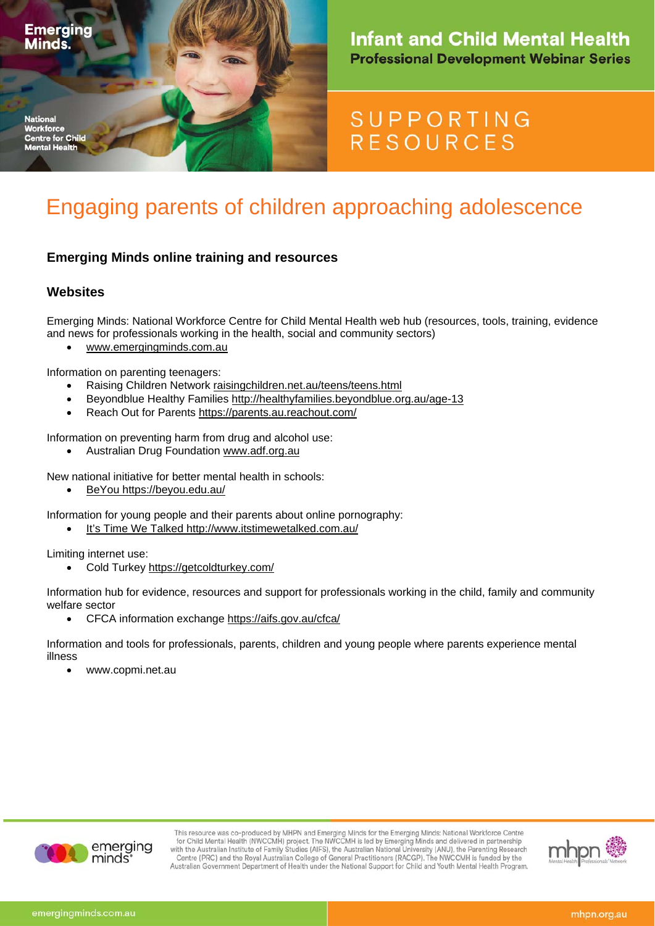

### **Infant and Child Mental Health Professional Development Webinar Series**

## **SUPPORTING RESOURCES**

# Engaging parents of children approaching adolescence

#### **Emerging Minds online training and resources**

#### **Websites**

Emerging Minds: National Workforce Centre for Child Mental Health web hub (resources, tools, training, evidence and news for professionals working in the health, social and community sectors)

www.emergingminds.com.au

Information on parenting teenagers:

- Raising Children Network raisingchildren.net.au/teens/teens.html
- Beyondblue Healthy Families http://healthyfamilies.beyondblue.org.au/age-13
- Reach Out for Parents https://parents.au.reachout.com/

Information on preventing harm from drug and alcohol use:

Australian Drug Foundation www.adf.org.au

New national initiative for better mental health in schools:

BeYou https://beyou.edu.au/

Information for young people and their parents about online pornography:

It's Time We Talked http://www.itstimewetalked.com.au/

Limiting internet use:

Cold Turkey https://getcoldturkey.com/

Information hub for evidence, resources and support for professionals working in the child, family and community welfare sector

CFCA information exchange https://aifs.gov.au/cfca/

Information and tools for professionals, parents, children and young people where parents experience mental illness

www.copmi.net.au



This resource was co-produced by MHPN and Emerging Minds for the Emerging Minds: National Workforce Centre<br>for Child Mental Health (NWCCMH) project. The NWCCMH is led by Emerging Minds and delivered in partnership<br>with the Centre (PRC) and the Royal Australian College of General Practitioners (RACGP). The NWCCMH is funded by the Australian Government Department of Health under the National Support for Child and Youth Mental Health Program.